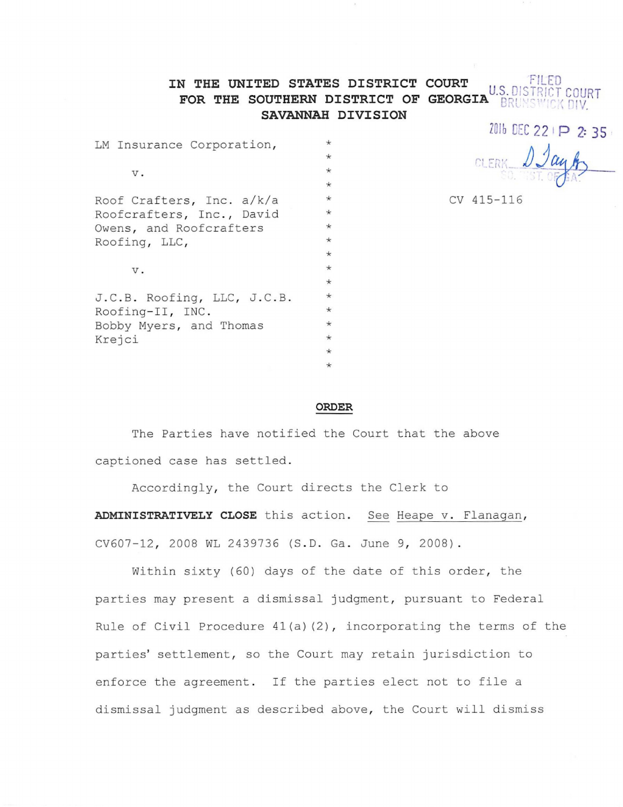## **IN THE UNITED STATES DISTRICT COURT LED FILED LED AT A REPORT OF A REPORT OF A REPORT OF A REPORT OF A REPORT OF A REPORT OF A REPORT OF A REPORT OF A REPORT OF A REPORT OF A REPORT OF A REPORT OF A REPORT OF A REPORT** U.S. DISTR **FOR THE SOUTHERN DISTRICT OF GEORGIA SAVANNAH DIVISION**

LM Insurance  $\mathcal{L}_\mathcal{A}$  is a corporation v. Roof Crafters, Inc. et al.  $\mathcal{L}_\mathcal{A}$  is a corporation v. Box. 655,  $\mathcal{L}_\mathcal{A}$ 

| LM Insurance Corporation,         | $\star$ |
|-----------------------------------|---------|
|                                   | $\star$ |
| v.                                | $\star$ |
|                                   | $\star$ |
| Roof Crafters, Inc. a/k/a         | $\star$ |
| Roofcrafters, Inc., David         | $\star$ |
| Owens, and Roofcrafters           | $\star$ |
| Roofing, LLC,                     | $\star$ |
|                                   | $\star$ |
| v.                                | $\star$ |
|                                   | $\star$ |
| J.C.B. Roofing, LLC, J.C.B.       | $\star$ |
| Roofing-II, INC.                  | $\star$ |
| Bobby Myers, and Thomas<br>Krejci | $\star$ |
|                                   | $\star$ |
|                                   | $\star$ |
|                                   | $\star$ |

2016 DEC 22 | P 2: 35

CV 415-116

## **ORDER**

The Parties have notified the Court that the above captioned case has settled.

Accordingly, the Court directs the Clerk to **ADMINISTRATIVELY CLOSE** this action. See Heape v. Flanagan, CV607-12, 2008 WL 2439736 (S.D. Ga. June 9, 2008).

Within sixty (60) days of the date of this order, the parties may present a dismissal judgment, pursuant to Federal Rule of Civil Procedure  $41(a)(2)$ , incorporating the terms of the parties' settlement, so the Court may retain jurisdiction to enforce the agreement. If the parties elect not to file a dismissal judgment as described above, the Court will dismiss